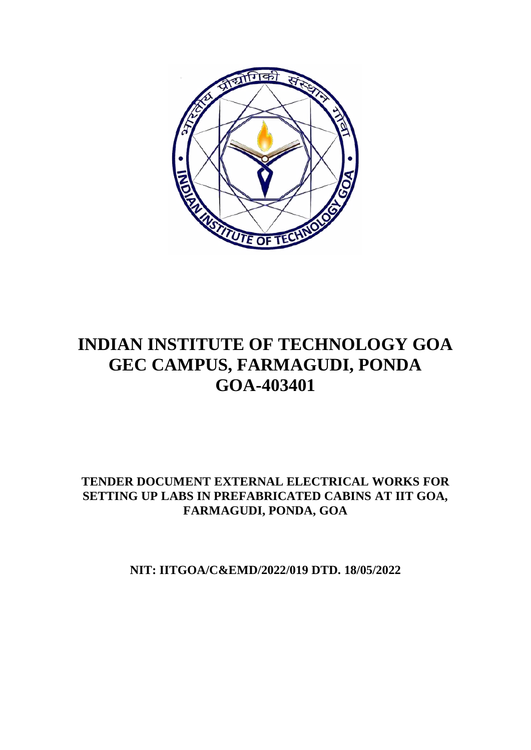

# **INDIAN INSTITUTE OF TECHNOLOGY GOA GEC CAMPUS, FARMAGUDI, PONDA GOA-403401**

## **TENDER DOCUMENT EXTERNAL ELECTRICAL WORKS FOR SETTING UP LABS IN PREFABRICATED CABINS AT IIT GOA, FARMAGUDI, PONDA, GOA**

**NIT: IITGOA/C&EMD/2022/019 DTD. 18/05/2022**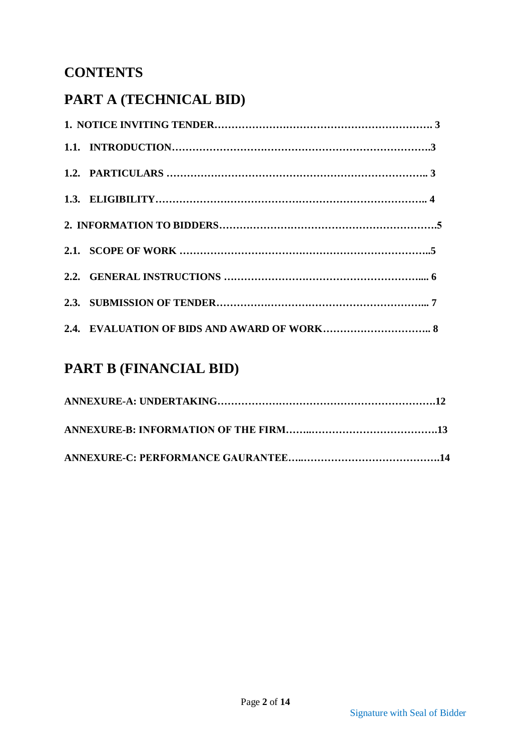## **CONTENTS**

# **PART A (TECHNICAL BID)**

# **PART B (FINANCIAL BID)**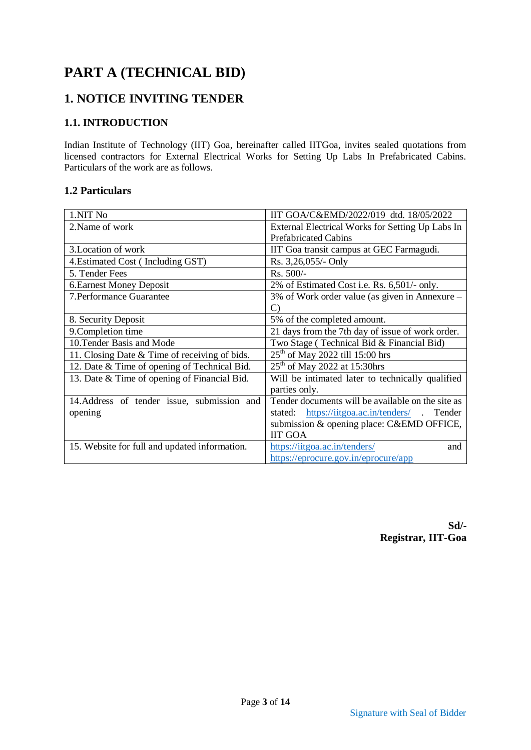## **PART A (TECHNICAL BID)**

## **1. NOTICE INVITING TENDER**

#### **1.1. INTRODUCTION**

Indian Institute of Technology (IIT) Goa, hereinafter called IITGoa, invites sealed quotations from licensed contractors for External Electrical Works for Setting Up Labs In Prefabricated Cabins. Particulars of the work are as follows.

#### **1.2 Particulars**

| 1.NIT No                                      | IIT GOA/C&EMD/2022/019 dtd. 18/05/2022            |  |  |  |  |
|-----------------------------------------------|---------------------------------------------------|--|--|--|--|
| 2. Name of work                               | External Electrical Works for Setting Up Labs In  |  |  |  |  |
|                                               | <b>Prefabricated Cabins</b>                       |  |  |  |  |
| 3. Location of work                           | IIT Goa transit campus at GEC Farmagudi.          |  |  |  |  |
| 4. Estimated Cost (Including GST)             | Rs. 3,26,055/- Only                               |  |  |  |  |
| 5. Tender Fees                                | Rs. 500/-                                         |  |  |  |  |
| <b>6. Earnest Money Deposit</b>               | 2% of Estimated Cost i.e. Rs. 6,501/- only.       |  |  |  |  |
| 7. Performance Guarantee                      | 3% of Work order value (as given in Annexure –    |  |  |  |  |
|                                               | C)                                                |  |  |  |  |
| 8. Security Deposit                           | 5% of the completed amount.                       |  |  |  |  |
| 9. Completion time                            | 21 days from the 7th day of issue of work order.  |  |  |  |  |
| 10. Tender Basis and Mode                     | Two Stage (Technical Bid & Financial Bid)         |  |  |  |  |
| 11. Closing Date & Time of receiving of bids. | $25th$ of May 2022 till 15:00 hrs                 |  |  |  |  |
| 12. Date & Time of opening of Technical Bid.  | $25th$ of May 2022 at 15:30hrs                    |  |  |  |  |
| 13. Date & Time of opening of Financial Bid.  | Will be intimated later to technically qualified  |  |  |  |  |
|                                               | parties only.                                     |  |  |  |  |
| 14. Address of tender issue, submission and   | Tender documents will be available on the site as |  |  |  |  |
| opening                                       | stated: https://iitgoa.ac.in/tenders/ . Tender    |  |  |  |  |
|                                               | submission & opening place: C&EMD OFFICE,         |  |  |  |  |
|                                               | <b>IIT GOA</b>                                    |  |  |  |  |
| 15. Website for full and updated information. | https://iitgoa.ac.in/tenders/<br>and              |  |  |  |  |
|                                               | https://eprocure.gov.in/eprocure/app              |  |  |  |  |

**Sd/- Registrar, IIT-Goa**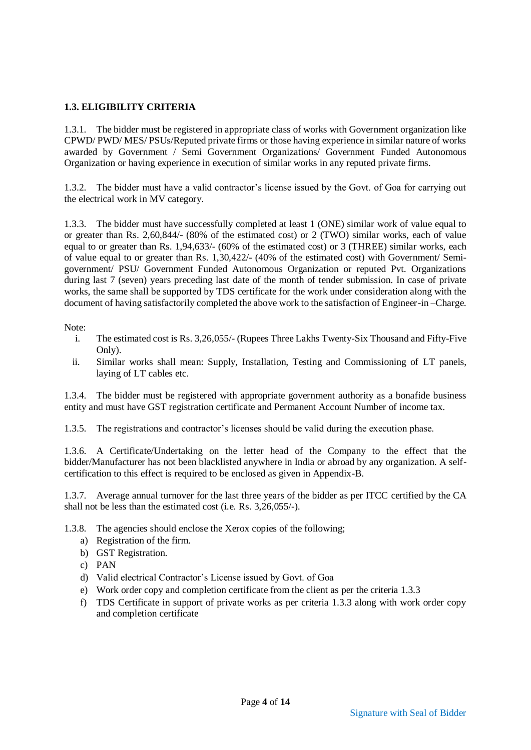#### **1.3. ELIGIBILITY CRITERIA**

1.3.1. The bidder must be registered in appropriate class of works with Government organization like CPWD/ PWD/ MES/ PSUs/Reputed private firms or those having experience in similar nature of works awarded by Government / Semi Government Organizations/ Government Funded Autonomous Organization or having experience in execution of similar works in any reputed private firms.

1.3.2. The bidder must have a valid contractor's license issued by the Govt. of Goa for carrying out the electrical work in MV category.

1.3.3. The bidder must have successfully completed at least 1 (ONE) similar work of value equal to or greater than Rs. 2,60,844/- (80% of the estimated cost) or 2 (TWO) similar works, each of value equal to or greater than Rs. 1,94,633/- (60% of the estimated cost) or 3 (THREE) similar works, each of value equal to or greater than Rs. 1,30,422/- (40% of the estimated cost) with Government/ Semigovernment/ PSU/ Government Funded Autonomous Organization or reputed Pvt. Organizations during last 7 (seven) years preceding last date of the month of tender submission. In case of private works, the same shall be supported by TDS certificate for the work under consideration along with the document of having satisfactorily completed the above work to the satisfaction of Engineer-in –Charge.

Note:

- i. The estimated cost is Rs. 3,26,055/- (Rupees Three Lakhs Twenty-Six Thousand and Fifty-Five Only).
- ii. Similar works shall mean: Supply, Installation, Testing and Commissioning of LT panels, laying of LT cables etc.

1.3.4. The bidder must be registered with appropriate government authority as a bonafide business entity and must have GST registration certificate and Permanent Account Number of income tax.

1.3.5. The registrations and contractor's licenses should be valid during the execution phase.

1.3.6. A Certificate/Undertaking on the letter head of the Company to the effect that the bidder/Manufacturer has not been blacklisted anywhere in India or abroad by any organization. A selfcertification to this effect is required to be enclosed as given in Appendix-B.

1.3.7. Average annual turnover for the last three years of the bidder as per ITCC certified by the CA shall not be less than the estimated cost (i.e. Rs. 3,26,055/-).

- 1.3.8. The agencies should enclose the Xerox copies of the following;
	- a) Registration of the firm.
	- b) GST Registration.
	- c) PAN
	- d) Valid electrical Contractor's License issued by Govt. of Goa
	- e) Work order copy and completion certificate from the client as per the criteria 1.3.3
	- f) TDS Certificate in support of private works as per criteria 1.3.3 along with work order copy and completion certificate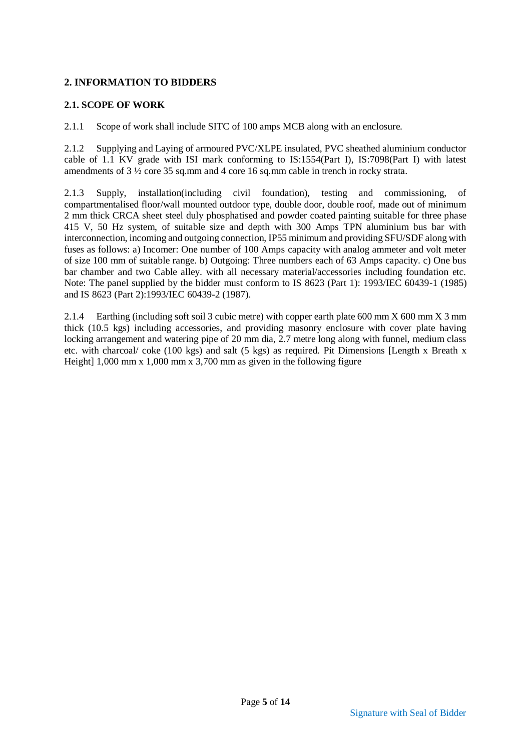#### **2. INFORMATION TO BIDDERS**

#### **2.1. SCOPE OF WORK**

2.1.1 Scope of work shall include SITC of 100 amps MCB along with an enclosure.

2.1.2 Supplying and Laying of armoured PVC/XLPE insulated, PVC sheathed aluminium conductor cable of 1.1 KV grade with ISI mark conforming to IS:1554(Part I), IS:7098(Part I) with latest amendments of 3 ½ core 35 sq.mm and 4 core 16 sq.mm cable in trench in rocky strata.

2.1.3 Supply, installation(including civil foundation), testing and commissioning, of compartmentalised floor/wall mounted outdoor type, double door, double roof, made out of minimum 2 mm thick CRCA sheet steel duly phosphatised and powder coated painting suitable for three phase 415 V, 50 Hz system, of suitable size and depth with 300 Amps TPN aluminium bus bar with interconnection, incoming and outgoing connection, IP55 minimum and providing SFU/SDF along with fuses as follows: a) Incomer: One number of 100 Amps capacity with analog ammeter and volt meter of size 100 mm of suitable range. b) Outgoing: Three numbers each of 63 Amps capacity. c) One bus bar chamber and two Cable alley. with all necessary material/accessories including foundation etc. Note: The panel supplied by the bidder must conform to IS 8623 (Part 1): 1993/IEC 60439-1 (1985) and IS 8623 (Part 2):1993/IEC 60439-2 (1987).

2.1.4 Earthing (including soft soil 3 cubic metre) with copper earth plate 600 mm X 600 mm X 3 mm thick (10.5 kgs) including accessories, and providing masonry enclosure with cover plate having locking arrangement and watering pipe of 20 mm dia, 2.7 metre long along with funnel, medium class etc. with charcoal/ coke (100 kgs) and salt (5 kgs) as required. Pit Dimensions [Length x Breath x Height] 1,000 mm x 1,000 mm x 3,700 mm as given in the following figure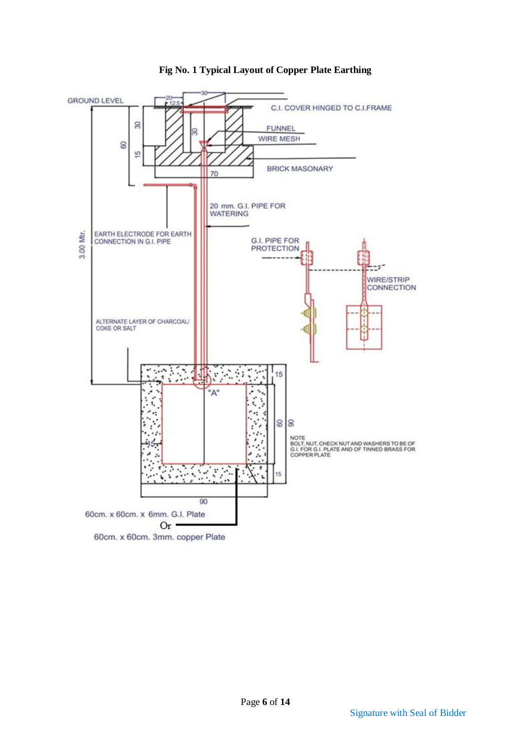

**Fig No. 1 Typical Layout of Copper Plate Earthing**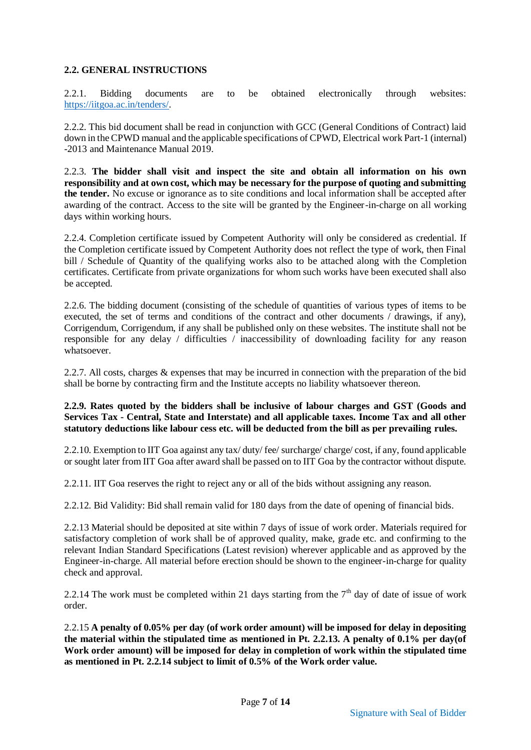#### **2.2. GENERAL INSTRUCTIONS**

2.2.1. Bidding documents are to be obtained electronically through websites: [https://iitgoa.ac.in/tenders/.](https://iitgoa.ac.in/tenders/)

2.2.2. This bid document shall be read in conjunction with GCC (General Conditions of Contract) laid down in the CPWD manual and the applicable specifications of CPWD, Electrical work Part-1 (internal) -2013 and Maintenance Manual 2019.

2.2.3. **The bidder shall visit and inspect the site and obtain all information on his own responsibility and at own cost, which may be necessary for the purpose of quoting and submitting the tender.** No excuse or ignorance as to site conditions and local information shall be accepted after awarding of the contract. Access to the site will be granted by the Engineer-in-charge on all working days within working hours.

2.2.4. Completion certificate issued by Competent Authority will only be considered as credential. If the Completion certificate issued by Competent Authority does not reflect the type of work, then Final bill / Schedule of Quantity of the qualifying works also to be attached along with the Completion certificates. Certificate from private organizations for whom such works have been executed shall also be accepted.

2.2.6. The bidding document (consisting of the schedule of quantities of various types of items to be executed, the set of terms and conditions of the contract and other documents / drawings, if any), Corrigendum, Corrigendum, if any shall be published only on these websites. The institute shall not be responsible for any delay / difficulties / inaccessibility of downloading facility for any reason whatsoever.

2.2.7. All costs, charges & expenses that may be incurred in connection with the preparation of the bid shall be borne by contracting firm and the Institute accepts no liability whatsoever thereon.

#### **2.2.9. Rates quoted by the bidders shall be inclusive of labour charges and GST (Goods and Services Tax - Central, State and Interstate) and all applicable taxes. Income Tax and all other statutory deductions like labour cess etc. will be deducted from the bill as per prevailing rules.**

2.2.10. Exemption to IIT Goa against any tax/ duty/ fee/ surcharge/ charge/ cost, if any, found applicable or sought later from IIT Goa after award shall be passed on to IIT Goa by the contractor without dispute.

2.2.11. IIT Goa reserves the right to reject any or all of the bids without assigning any reason.

2.2.12. Bid Validity: Bid shall remain valid for 180 days from the date of opening of financial bids.

2.2.13 Material should be deposited at site within 7 days of issue of work order. Materials required for satisfactory completion of work shall be of approved quality, make, grade etc. and confirming to the relevant Indian Standard Specifications (Latest revision) wherever applicable and as approved by the Engineer-in-charge. All material before erection should be shown to the engineer-in-charge for quality check and approval.

2.2.14 The work must be completed within 21 days starting from the  $7<sup>th</sup>$  day of date of issue of work order.

2.2.15 **A penalty of 0.05% per day (of work order amount) will be imposed for delay in depositing the material within the stipulated time as mentioned in Pt. 2.2.13. A penalty of 0.1% per day(of Work order amount) will be imposed for delay in completion of work within the stipulated time as mentioned in Pt. 2.2.14 subject to limit of 0.5% of the Work order value.**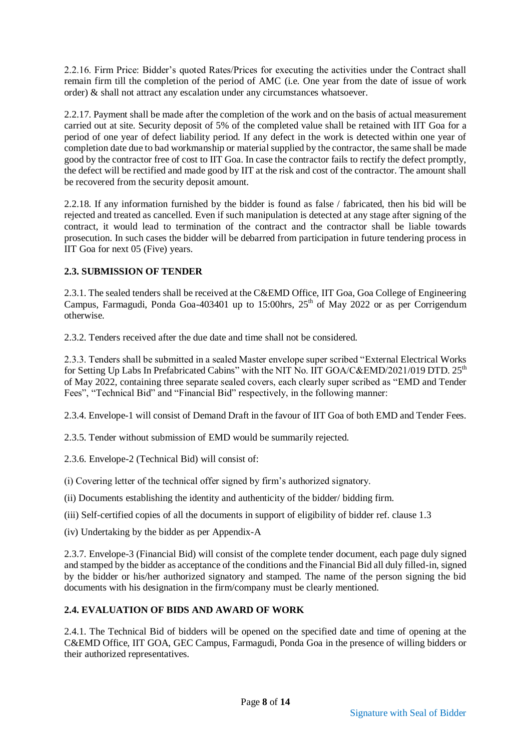2.2.16. Firm Price: Bidder's quoted Rates/Prices for executing the activities under the Contract shall remain firm till the completion of the period of AMC (i.e. One year from the date of issue of work order) & shall not attract any escalation under any circumstances whatsoever.

2.2.17. Payment shall be made after the completion of the work and on the basis of actual measurement carried out at site. Security deposit of 5% of the completed value shall be retained with IIT Goa for a period of one year of defect liability period. If any defect in the work is detected within one year of completion date due to bad workmanship or material supplied by the contractor, the same shall be made good by the contractor free of cost to IIT Goa. In case the contractor fails to rectify the defect promptly, the defect will be rectified and made good by IIT at the risk and cost of the contractor. The amount shall be recovered from the security deposit amount.

2.2.18. If any information furnished by the bidder is found as false / fabricated, then his bid will be rejected and treated as cancelled. Even if such manipulation is detected at any stage after signing of the contract, it would lead to termination of the contract and the contractor shall be liable towards prosecution. In such cases the bidder will be debarred from participation in future tendering process in IIT Goa for next 05 (Five) years.

#### **2.3. SUBMISSION OF TENDER**

2.3.1. The sealed tenders shall be received at the C&EMD Office, IIT Goa, Goa College of Engineering Campus, Farmagudi, Ponda Goa-403401 up to 15:00hrs,  $25<sup>th</sup>$  of May 2022 or as per Corrigendum otherwise.

2.3.2. Tenders received after the due date and time shall not be considered.

2.3.3. Tenders shall be submitted in a sealed Master envelope super scribed "External Electrical Works for Setting Up Labs In Prefabricated Cabins" with the NIT No. IIT GOA/C&EMD/2021/019 DTD. 25<sup>th</sup> of May 2022, containing three separate sealed covers, each clearly super scribed as "EMD and Tender Fees", "Technical Bid" and "Financial Bid" respectively, in the following manner:

2.3.4. Envelope-1 will consist of Demand Draft in the favour of IIT Goa of both EMD and Tender Fees.

2.3.5. Tender without submission of EMD would be summarily rejected.

2.3.6. Envelope-2 (Technical Bid) will consist of:

(i) Covering letter of the technical offer signed by firm's authorized signatory.

(ii) Documents establishing the identity and authenticity of the bidder/ bidding firm.

(iii) Self-certified copies of all the documents in support of eligibility of bidder ref. clause 1.3

(iv) Undertaking by the bidder as per Appendix-A

2.3.7. Envelope-3 (Financial Bid) will consist of the complete tender document, each page duly signed and stamped by the bidder as acceptance of the conditions and the Financial Bid all duly filled-in, signed by the bidder or his/her authorized signatory and stamped. The name of the person signing the bid documents with his designation in the firm/company must be clearly mentioned.

#### **2.4. EVALUATION OF BIDS AND AWARD OF WORK**

2.4.1. The Technical Bid of bidders will be opened on the specified date and time of opening at the C&EMD Office, IIT GOA, GEC Campus, Farmagudi, Ponda Goa in the presence of willing bidders or their authorized representatives.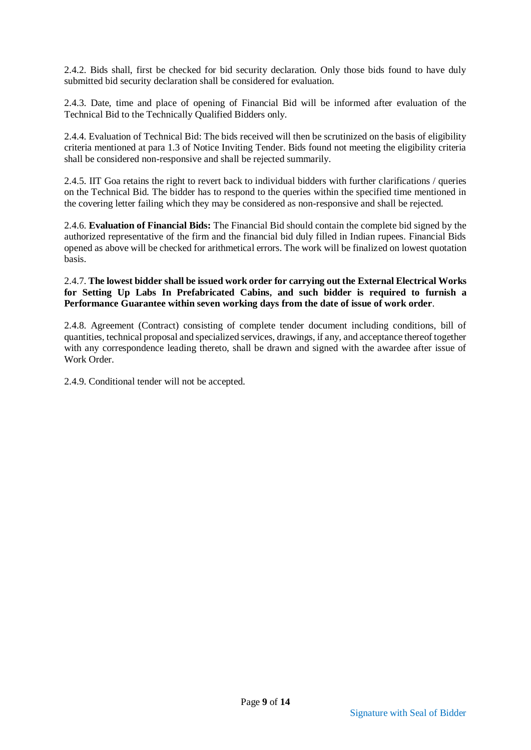2.4.2. Bids shall, first be checked for bid security declaration. Only those bids found to have duly submitted bid security declaration shall be considered for evaluation.

2.4.3. Date, time and place of opening of Financial Bid will be informed after evaluation of the Technical Bid to the Technically Qualified Bidders only.

2.4.4. Evaluation of Technical Bid: The bids received will then be scrutinized on the basis of eligibility criteria mentioned at para 1.3 of Notice Inviting Tender. Bids found not meeting the eligibility criteria shall be considered non-responsive and shall be rejected summarily.

2.4.5. IIT Goa retains the right to revert back to individual bidders with further clarifications / queries on the Technical Bid. The bidder has to respond to the queries within the specified time mentioned in the covering letter failing which they may be considered as non-responsive and shall be rejected.

2.4.6. **Evaluation of Financial Bids:** The Financial Bid should contain the complete bid signed by the authorized representative of the firm and the financial bid duly filled in Indian rupees. Financial Bids opened as above will be checked for arithmetical errors. The work will be finalized on lowest quotation basis.

#### 2.4.7. **The lowest bidder shall be issued work order for carrying out the External Electrical Works for Setting Up Labs In Prefabricated Cabins, and such bidder is required to furnish a Performance Guarantee within seven working days from the date of issue of work order**.

2.4.8. Agreement (Contract) consisting of complete tender document including conditions, bill of quantities, technical proposal and specialized services, drawings, if any, and acceptance thereof together with any correspondence leading thereto, shall be drawn and signed with the awardee after issue of Work Order

2.4.9. Conditional tender will not be accepted.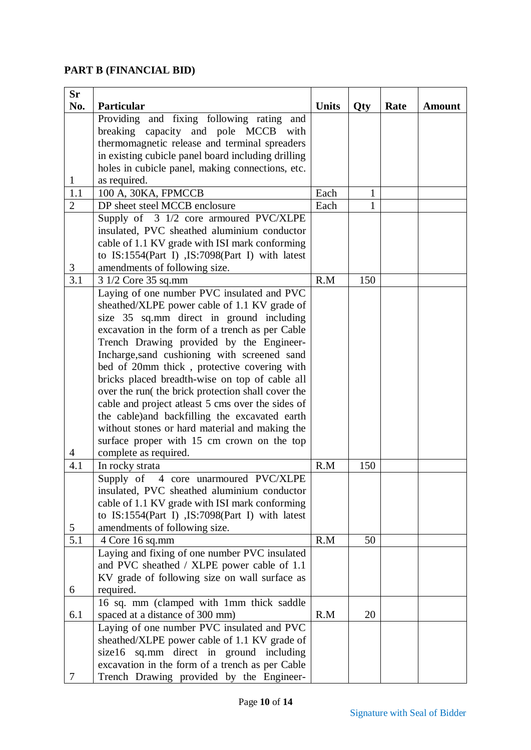### **PART B (FINANCIAL BID)**

| <b>Sr</b>      |                                                         |              |              |      |               |
|----------------|---------------------------------------------------------|--------------|--------------|------|---------------|
| No.            | Particular<br>Providing and fixing following rating and | <b>Units</b> | Qty          | Rate | <b>Amount</b> |
|                | breaking capacity and pole MCCB with                    |              |              |      |               |
|                | thermomagnetic release and terminal spreaders           |              |              |      |               |
|                | in existing cubicle panel board including drilling      |              |              |      |               |
|                | holes in cubicle panel, making connections, etc.        |              |              |      |               |
| 1              | as required.                                            |              |              |      |               |
| 1.1            | 100 A, 30KA, FPMCCB                                     | Each         | $\mathbf{1}$ |      |               |
| $\overline{2}$ | DP sheet steel MCCB enclosure                           | Each         | $\mathbf{1}$ |      |               |
|                | Supply of 3 1/2 core armoured PVC/XLPE                  |              |              |      |               |
|                | insulated, PVC sheathed aluminium conductor             |              |              |      |               |
|                | cable of 1.1 KV grade with ISI mark conforming          |              |              |      |               |
|                | to IS:1554(Part I), IS:7098(Part I) with latest         |              |              |      |               |
| 3              | amendments of following size.                           |              |              |      |               |
| 3.1            | 3 1/2 Core 35 sq.mm                                     | R.M          | 150          |      |               |
|                | Laying of one number PVC insulated and PVC              |              |              |      |               |
|                | sheathed/XLPE power cable of 1.1 KV grade of            |              |              |      |               |
|                | size 35 sq.mm direct in ground including                |              |              |      |               |
|                | excavation in the form of a trench as per Cable         |              |              |      |               |
|                | Trench Drawing provided by the Engineer-                |              |              |      |               |
|                | Incharge, sand cushioning with screened sand            |              |              |      |               |
|                | bed of 20mm thick, protective covering with             |              |              |      |               |
|                | bricks placed breadth-wise on top of cable all          |              |              |      |               |
|                | over the run( the brick protection shall cover the      |              |              |      |               |
|                | cable and project atleast 5 cms over the sides of       |              |              |      |               |
|                | the cable)and backfilling the excavated earth           |              |              |      |               |
|                | without stones or hard material and making the          |              |              |      |               |
|                | surface proper with 15 cm crown on the top              |              |              |      |               |
| $\overline{4}$ | complete as required.                                   |              |              |      |               |
| 4.1            | In rocky strata                                         | R.M          | 150          |      |               |
|                | Supply of 4 core unarmoured PVC/XLPE                    |              |              |      |               |
|                | insulated, PVC sheathed aluminium conductor             |              |              |      |               |
|                | cable of 1.1 KV grade with ISI mark conforming          |              |              |      |               |
| 5              | to IS:1554(Part I) , IS:7098(Part I) with latest        |              |              |      |               |
| 5.1            | amendments of following size.<br>4 Core 16 sq.mm        | R.M          | 50           |      |               |
|                | Laying and fixing of one number PVC insulated           |              |              |      |               |
|                | and PVC sheathed / XLPE power cable of 1.1              |              |              |      |               |
|                | KV grade of following size on wall surface as           |              |              |      |               |
| 6              | required.                                               |              |              |      |               |
|                | 16 sq. mm (clamped with 1mm thick saddle                |              |              |      |               |
| 6.1            | spaced at a distance of 300 mm)                         | R.M          | 20           |      |               |
|                | Laying of one number PVC insulated and PVC              |              |              |      |               |
|                | sheathed/XLPE power cable of 1.1 KV grade of            |              |              |      |               |
|                | size16 sq.mm direct in ground including                 |              |              |      |               |
|                | excavation in the form of a trench as per Cable         |              |              |      |               |
| 7              | Trench Drawing provided by the Engineer-                |              |              |      |               |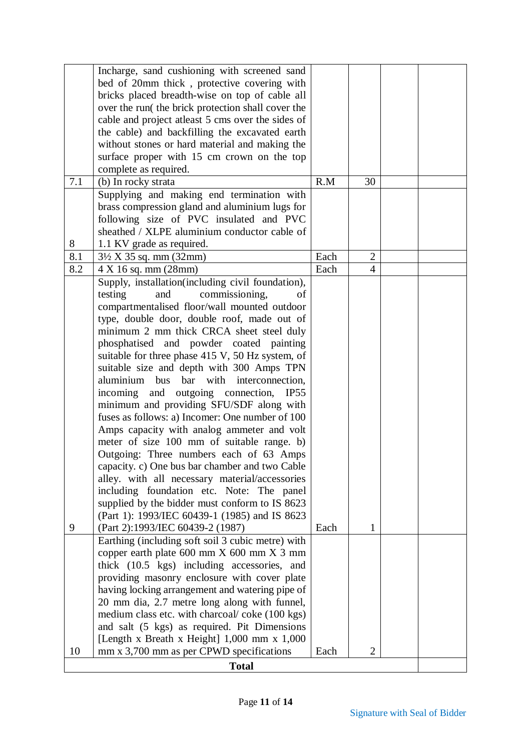|              | Incharge, sand cushioning with screened sand       |      |                |  |  |
|--------------|----------------------------------------------------|------|----------------|--|--|
|              | bed of 20mm thick, protective covering with        |      |                |  |  |
|              | bricks placed breadth-wise on top of cable all     |      |                |  |  |
|              | over the run( the brick protection shall cover the |      |                |  |  |
|              | cable and project atleast 5 cms over the sides of  |      |                |  |  |
|              | the cable) and backfilling the excavated earth     |      |                |  |  |
|              | without stones or hard material and making the     |      |                |  |  |
|              | surface proper with 15 cm crown on the top         |      |                |  |  |
|              | complete as required.                              |      |                |  |  |
| 7.1          | (b) In rocky strata                                | R.M  | 30             |  |  |
|              | Supplying and making end termination with          |      |                |  |  |
|              | brass compression gland and aluminium lugs for     |      |                |  |  |
|              | following size of PVC insulated and PVC            |      |                |  |  |
|              | sheathed / XLPE aluminium conductor cable of       |      |                |  |  |
|              |                                                    |      |                |  |  |
| 8            | 1.1 KV grade as required.                          |      |                |  |  |
| 8.1          | $3\frac{1}{2}$ X 35 sq. mm (32mm)                  | Each | $\overline{2}$ |  |  |
| 8.2          | 4 X 16 sq. mm (28mm)                               | Each | 4              |  |  |
|              | Supply, installation(including civil foundation),  |      |                |  |  |
|              | testing<br>commissioning,<br>and<br>οf             |      |                |  |  |
|              | compartmentalised floor/wall mounted outdoor       |      |                |  |  |
|              | type, double door, double roof, made out of        |      |                |  |  |
|              | minimum 2 mm thick CRCA sheet steel duly           |      |                |  |  |
|              | phosphatised and powder coated painting            |      |                |  |  |
|              | suitable for three phase 415 V, 50 Hz system, of   |      |                |  |  |
|              | suitable size and depth with 300 Amps TPN          |      |                |  |  |
|              | bus bar with interconnection,<br>aluminium         |      |                |  |  |
|              | and outgoing connection,<br>incoming<br>IP55       |      |                |  |  |
|              | minimum and providing SFU/SDF along with           |      |                |  |  |
|              | fuses as follows: a) Incomer: One number of 100    |      |                |  |  |
|              | Amps capacity with analog ammeter and volt         |      |                |  |  |
|              | meter of size 100 mm of suitable range. b)         |      |                |  |  |
|              | Outgoing: Three numbers each of 63 Amps            |      |                |  |  |
|              | capacity. c) One bus bar chamber and two Cable     |      |                |  |  |
|              | alley. with all necessary material/accessories     |      |                |  |  |
|              | including foundation etc. Note: The panel          |      |                |  |  |
|              | supplied by the bidder must conform to IS 8623     |      |                |  |  |
|              | (Part 1): 1993/IEC 60439-1 (1985) and IS 8623      |      |                |  |  |
| 9            | (Part 2):1993/IEC 60439-2 (1987)                   | Each | 1              |  |  |
|              | Earthing (including soft soil 3 cubic metre) with  |      |                |  |  |
|              | copper earth plate 600 mm X 600 mm X 3 mm          |      |                |  |  |
|              | thick (10.5 kgs) including accessories, and        |      |                |  |  |
|              | providing masonry enclosure with cover plate       |      |                |  |  |
|              | having locking arrangement and watering pipe of    |      |                |  |  |
|              | 20 mm dia, 2.7 metre long along with funnel,       |      |                |  |  |
|              | medium class etc. with charcoal/coke (100 kgs)     |      |                |  |  |
|              | and salt (5 kgs) as required. Pit Dimensions       |      |                |  |  |
|              | [Length x Breath x Height] 1,000 mm x 1,000        |      |                |  |  |
| 10           | mm x 3,700 mm as per CPWD specifications           | Each | $\overline{2}$ |  |  |
| <b>Total</b> |                                                    |      |                |  |  |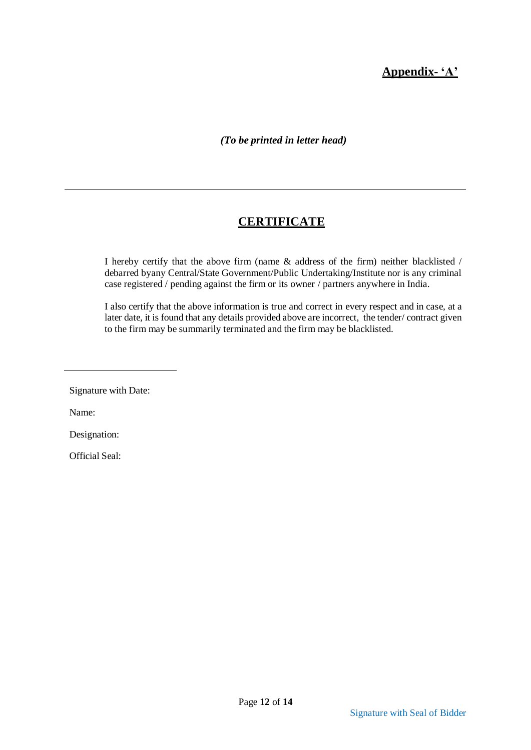## **Appendix- 'A'**

*(To be printed in letter head)*

## **CERTIFICATE**

I hereby certify that the above firm (name & address of the firm) neither blacklisted / debarred byany Central/State Government/Public Undertaking/Institute nor is any criminal case registered / pending against the firm or its owner / partners anywhere in India.

I also certify that the above information is true and correct in every respect and in case, at a later date, it is found that any details provided above are incorrect, the tender/ contract given to the firm may be summarily terminated and the firm may be blacklisted.

Signature with Date:

Name:

Designation:

Official Seal: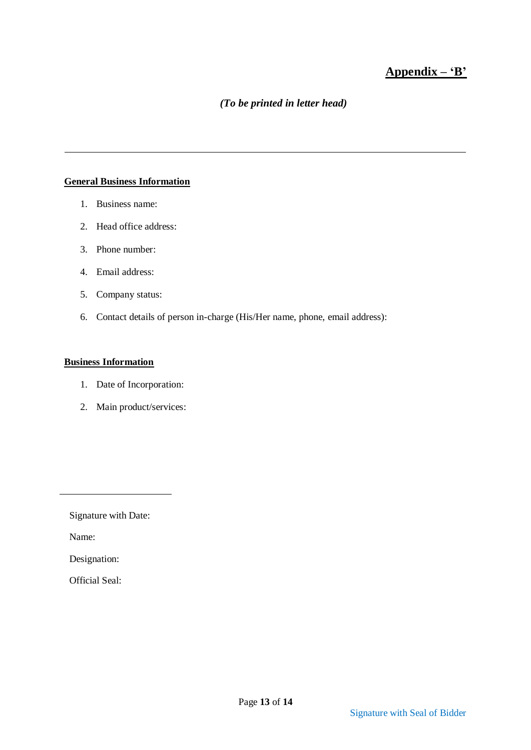## **Appendix – 'B'**

### *(To be printed in letter head)*

#### **General Business Information**

- 1. Business name:
- 2. Head office address:
- 3. Phone number:
- 4. Email address:
- 5. Company status:
- 6. Contact details of person in-charge (His/Her name, phone, email address):

#### **Business Information**

- 1. Date of Incorporation:
- 2. Main product/services:

Signature with Date:

Name:

Designation:

Official Seal: